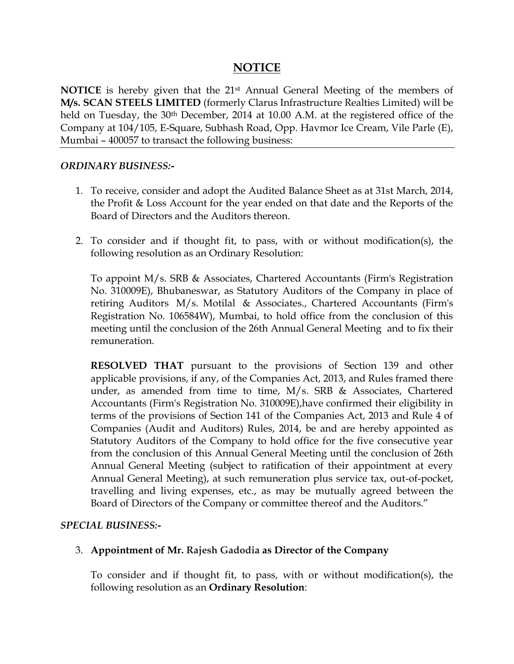# **NOTICE**

**NOTICE** is hereby given that the 21<sup>st</sup> Annual General Meeting of the members of **M/s. SCAN STEELS LIMITED** (formerly Clarus Infrastructure Realties Limited) will be held on Tuesday, the 30<sup>th</sup> December, 2014 at 10.00 A.M. at the registered office of the Company at 104/105, E-Square, Subhash Road, Opp. Havmor Ice Cream, Vile Parle (E), Mumbai – 400057 to transact the following business:

### *ORDINARY BUSINESS:-*

- 1. To receive, consider and adopt the Audited Balance Sheet as at 31st March, 2014, the Profit & Loss Account for the year ended on that date and the Reports of the Board of Directors and the Auditors thereon.
- 2. To consider and if thought fit, to pass, with or without modification(s), the following resolution as an Ordinary Resolution:

To appoint M/s. SRB & Associates, Chartered Accountants (Firm's Registration No. 310009E), Bhubaneswar, as Statutory Auditors of the Company in place of retiring Auditors M/s. Motilal & Associates., Chartered Accountants (Firm's Registration No. 106584W), Mumbai, to hold office from the conclusion of this meeting until the conclusion of the 26th Annual General Meeting and to fix their remuneration.

**RESOLVED THAT** pursuant to the provisions of Section 139 and other applicable provisions, if any, of the Companies Act, 2013, and Rules framed there under, as amended from time to time, M/s. SRB & Associates, Chartered Accountants (Firm's Registration No. 310009E),have confirmed their eligibility in terms of the provisions of Section 141 of the Companies Act, 2013 and Rule 4 of Companies (Audit and Auditors) Rules, 2014, be and are hereby appointed as Statutory Auditors of the Company to hold office for the five consecutive year from the conclusion of this Annual General Meeting until the conclusion of 26th Annual General Meeting (subject to ratification of their appointment at every Annual General Meeting), at such remuneration plus service tax, out-of-pocket, travelling and living expenses, etc., as may be mutually agreed between the Board of Directors of the Company or committee thereof and the Auditors."

## *SPECIAL BUSINESS:-*

## 3. **Appointment of Mr. Rajesh Gadodia as Director of the Company**

To consider and if thought fit, to pass, with or without modification(s), the following resolution as an **Ordinary Resolution**: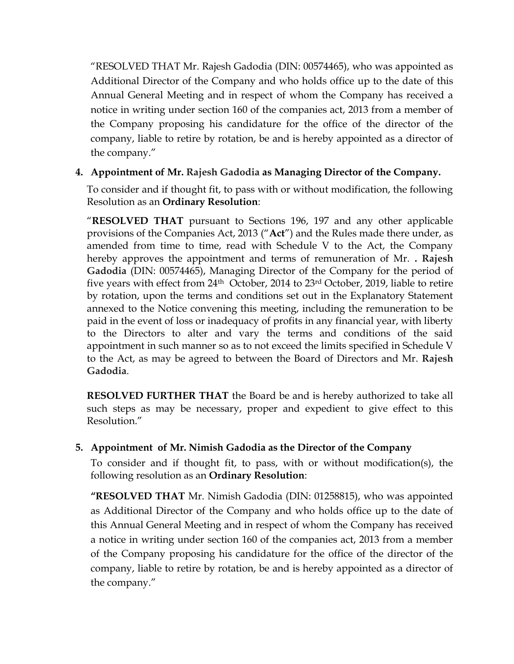"RESOLVED THAT Mr. Rajesh Gadodia (DIN: 00574465), who was appointed as Additional Director of the Company and who holds office up to the date of this Annual General Meeting and in respect of whom the Company has received a notice in writing under section 160 of the companies act, 2013 from a member of the Company proposing his candidature for the office of the director of the company, liable to retire by rotation, be and is hereby appointed as a director of the company."

# **4. Appointment of Mr. Rajesh Gadodia as Managing Director of the Company.**

To consider and if thought fit, to pass with or without modification, the following Resolution as an **Ordinary Resolution**:

"**RESOLVED THAT** pursuant to Sections 196, 197 and any other applicable provisions of the Companies Act, 2013 ("**Act**") and the Rules made there under, as amended from time to time, read with Schedule V to the Act, the Company hereby approves the appointment and terms of remuneration of Mr. **. Rajesh Gadodia** (DIN: 00574465), Managing Director of the Company for the period of five years with effect from 24th October, 2014 to 23rd October, 2019, liable to retire by rotation, upon the terms and conditions set out in the Explanatory Statement annexed to the Notice convening this meeting, including the remuneration to be paid in the event of loss or inadequacy of profits in any financial year, with liberty to the Directors to alter and vary the terms and conditions of the said appointment in such manner so as to not exceed the limits specified in Schedule V to the Act, as may be agreed to between the Board of Directors and Mr. **Rajesh Gadodia**.

**RESOLVED FURTHER THAT** the Board be and is hereby authorized to take all such steps as may be necessary, proper and expedient to give effect to this Resolution."

# **5. Appointment of Mr. Nimish Gadodia as the Director of the Company**

To consider and if thought fit, to pass, with or without modification(s), the following resolution as an **Ordinary Resolution**:

**"RESOLVED THAT** Mr. Nimish Gadodia (DIN: 01258815), who was appointed as Additional Director of the Company and who holds office up to the date of this Annual General Meeting and in respect of whom the Company has received a notice in writing under section 160 of the companies act, 2013 from a member of the Company proposing his candidature for the office of the director of the company, liable to retire by rotation, be and is hereby appointed as a director of the company."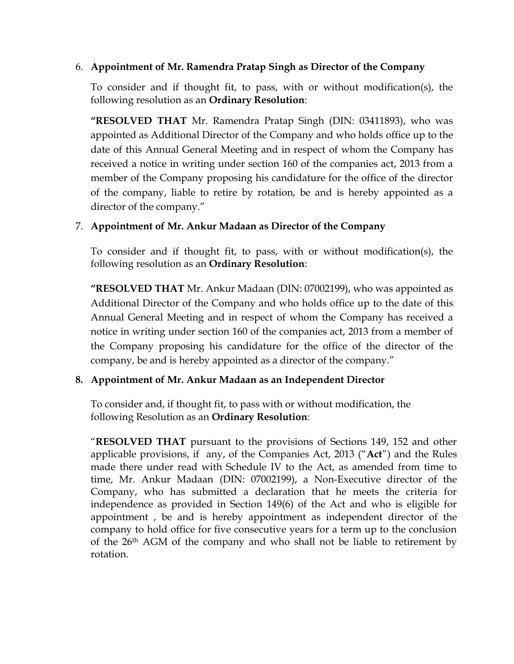## 6. **Appointment of Mr. Ramendra Pratap Singh as Director of the Company**

To consider and if thought fit, to pass, with or without modification(s), the following resolution as an **Ordinary Resolution**:

**"RESOLVED THAT** Mr. Ramendra Pratap Singh (DIN: 03411893), who was appointed as Additional Director of the Company and who holds office up to the date of this Annual General Meeting and in respect of whom the Company has received a notice in writing under section 160 of the companies act, 2013 from a member of the Company proposing his candidature for the office of the director of the company, liable to retire by rotation, be and is hereby appointed as a director of the company."

# 7. **Appointment of Mr. Ankur Madaan as Director of the Company**

To consider and if thought fit, to pass, with or without modification(s), the following resolution as an **Ordinary Resolution**:

**"RESOLVED THAT** Mr. Ankur Madaan (DIN: 07002199), who was appointed as Additional Director of the Company and who holds office up to the date of this Annual General Meeting and in respect of whom the Company has received a notice in writing under section 160 of the companies act, 2013 from a member of the Company proposing his candidature for the office of the director of the company, be and is hereby appointed as a director of the company."

# **8. Appointment of Mr. Ankur Madaan as an Independent Director**

To consider and, if thought fit, to pass with or without modification, the following Resolution as an **Ordinary Resolution**:

"**RESOLVED THAT** pursuant to the provisions of Sections 149, 152 and other applicable provisions, if any, of the Companies Act, 2013 ("**Act**") and the Rules made there under read with Schedule IV to the Act, as amended from time to time, Mr. Ankur Madaan (DIN: 07002199), a Non-Executive director of the Company, who has submitted a declaration that he meets the criteria for independence as provided in Section 149(6) of the Act and who is eligible for appointment , be and is hereby appointment as independent director of the company to hold office for five consecutive years for a term up to the conclusion of the 26th AGM of the company and who shall not be liable to retirement by rotation.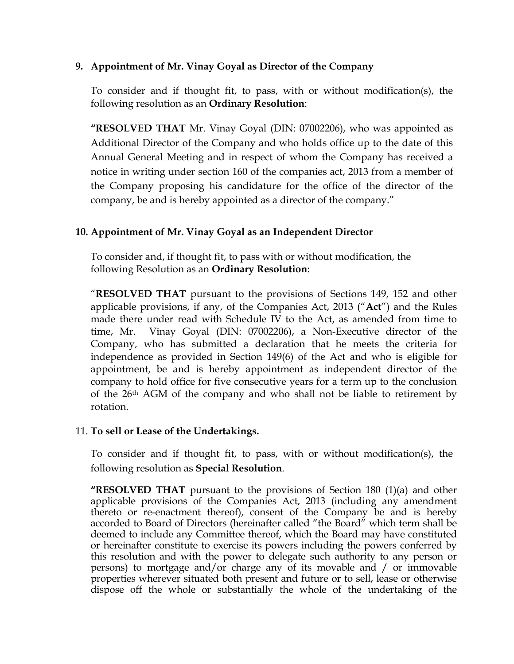## **9. Appointment of Mr. Vinay Goyal as Director of the Company**

To consider and if thought fit, to pass, with or without modification(s), the following resolution as an **Ordinary Resolution**:

**"RESOLVED THAT** Mr. Vinay Goyal (DIN: 07002206), who was appointed as Additional Director of the Company and who holds office up to the date of this Annual General Meeting and in respect of whom the Company has received a notice in writing under section 160 of the companies act, 2013 from a member of the Company proposing his candidature for the office of the director of the company, be and is hereby appointed as a director of the company."

## **10. Appointment of Mr. Vinay Goyal as an Independent Director**

To consider and, if thought fit, to pass with or without modification, the following Resolution as an **Ordinary Resolution**:

"**RESOLVED THAT** pursuant to the provisions of Sections 149, 152 and other applicable provisions, if any, of the Companies Act, 2013 ("**Act**") and the Rules made there under read with Schedule IV to the Act, as amended from time to time, Mr. Vinay Goyal (DIN: 07002206), a Non-Executive director of the Company, who has submitted a declaration that he meets the criteria for independence as provided in Section 149(6) of the Act and who is eligible for appointment, be and is hereby appointment as independent director of the company to hold office for five consecutive years for a term up to the conclusion of the 26th AGM of the company and who shall not be liable to retirement by rotation.

## 11. **To sell or Lease of the Undertakings.**

To consider and if thought fit, to pass, with or without modification(s), the following resolution as **Special Resolution**.

**"RESOLVED THAT** pursuant to the provisions of Section 180 (1)(a) and other applicable provisions of the Companies Act, 2013 (including any amendment thereto or re-enactment thereof), consent of the Company be and is hereby accorded to Board of Directors (hereinafter called "the Board" which term shall be deemed to include any Committee thereof, which the Board may have constituted or hereinafter constitute to exercise its powers including the powers conferred by this resolution and with the power to delegate such authority to any person or persons) to mortgage and/or charge any of its movable and / or immovable properties wherever situated both present and future or to sell, lease or otherwise dispose off the whole or substantially the whole of the undertaking of the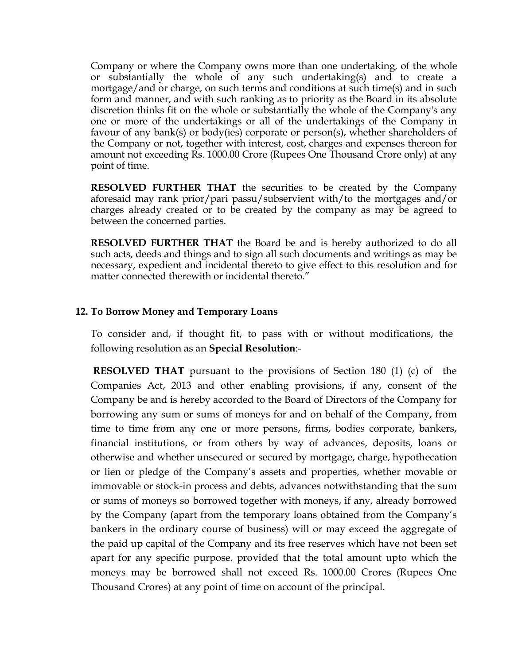Company or where the Company owns more than one undertaking, of the whole or substantially the whole of any such undertaking(s) and to create a mortgage/and or charge, on such terms and conditions at such time(s) and in such form and manner, and with such ranking as to priority as the Board in its absolute discretion thinks fit on the whole or substantially the whole of the Company's any one or more of the undertakings or all of the undertakings of the Company in favour of any bank(s) or body(ies) corporate or person(s), whether shareholders of the Company or not, together with interest, cost, charges and expenses thereon for amount not exceeding Rs. 1000.00 Crore (Rupees One Thousand Crore only) at any point of time.

**RESOLVED FURTHER THAT** the securities to be created by the Company aforesaid may rank prior/pari passu/subservient with/to the mortgages and/or charges already created or to be created by the company as may be agreed to between the concerned parties.

**RESOLVED FURTHER THAT** the Board be and is hereby authorized to do all such acts, deeds and things and to sign all such documents and writings as may be necessary, expedient and incidental thereto to give effect to this resolution and for matter connected therewith or incidental thereto."

### **12. To Borrow Money and Temporary Loans**

To consider and, if thought fit, to pass with or without modifications, the following resolution as an **Special Resolution**:-

 **RESOLVED THAT** pursuant to the provisions of Section 180 (1) (c) of the Companies Act, 2013 and other enabling provisions, if any, consent of the Company be and is hereby accorded to the Board of Directors of the Company for borrowing any sum or sums of moneys for and on behalf of the Company, from time to time from any one or more persons, firms, bodies corporate, bankers, financial institutions, or from others by way of advances, deposits, loans or otherwise and whether unsecured or secured by mortgage, charge, hypothecation or lien or pledge of the Company's assets and properties, whether movable or immovable or stock-in process and debts, advances notwithstanding that the sum or sums of moneys so borrowed together with moneys, if any, already borrowed by the Company (apart from the temporary loans obtained from the Company's bankers in the ordinary course of business) will or may exceed the aggregate of the paid up capital of the Company and its free reserves which have not been set apart for any specific purpose, provided that the total amount upto which the moneys may be borrowed shall not exceed Rs. 1000.00 Crores (Rupees One Thousand Crores) at any point of time on account of the principal.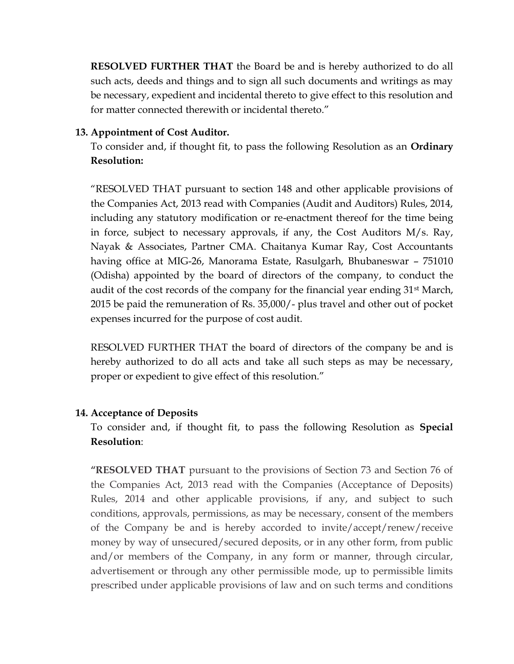**RESOLVED FURTHER THAT** the Board be and is hereby authorized to do all such acts, deeds and things and to sign all such documents and writings as may be necessary, expedient and incidental thereto to give effect to this resolution and for matter connected therewith or incidental thereto."

## **13. Appointment of Cost Auditor.**

To consider and, if thought fit, to pass the following Resolution as an **Ordinary Resolution:**

"RESOLVED THAT pursuant to section 148 and other applicable provisions of the Companies Act, 2013 read with Companies (Audit and Auditors) Rules, 2014, including any statutory modification or re-enactment thereof for the time being in force, subject to necessary approvals, if any, the Cost Auditors M/s. Ray, Nayak & Associates, Partner CMA. Chaitanya Kumar Ray, Cost Accountants having office at MIG-26, Manorama Estate, Rasulgarh, Bhubaneswar – 751010 (Odisha) appointed by the board of directors of the company, to conduct the audit of the cost records of the company for the financial year ending 31<sup>st</sup> March, 2015 be paid the remuneration of Rs. 35,000/- plus travel and other out of pocket expenses incurred for the purpose of cost audit.

RESOLVED FURTHER THAT the board of directors of the company be and is hereby authorized to do all acts and take all such steps as may be necessary, proper or expedient to give effect of this resolution."

## **14. Acceptance of Deposits**

To consider and, if thought fit, to pass the following Resolution as **Special Resolution**:

**"RESOLVED THAT** pursuant to the provisions of Section 73 and Section 76 of the Companies Act, 2013 read with the Companies (Acceptance of Deposits) Rules, 2014 and other applicable provisions, if any, and subject to such conditions, approvals, permissions, as may be necessary, consent of the members of the Company be and is hereby accorded to invite/accept/renew/receive money by way of unsecured/secured deposits, or in any other form, from public and/or members of the Company, in any form or manner, through circular, advertisement or through any other permissible mode, up to permissible limits prescribed under applicable provisions of law and on such terms and conditions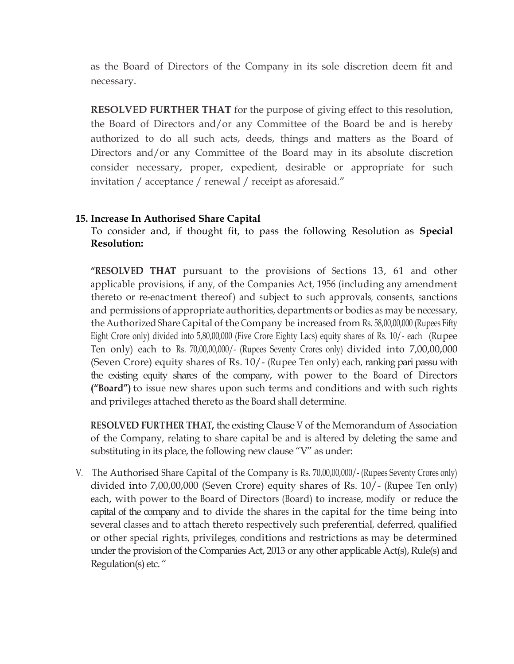as the Board of Directors of the Company in its sole discretion deem fit and necessary.

**RESOLVED FURTHER THAT** for the purpose of giving effect to this resolution, the Board of Directors and/or any Committee of the Board be and is hereby authorized to do all such acts, deeds, things and matters as the Board of Directors and/or any Committee of the Board may in its absolute discretion consider necessary, proper, expedient, desirable or appropriate for such invitation / acceptance / renewal / receipt as aforesaid."

## **15. Increase In Authorised Share Capital**

To consider and, if thought fit, to pass the following Resolution as **Special Resolution:**

**"RESOLVED THAT** pursuant to the provisions of Sections 13, 61 and other applicable provisions, if any, of the Companies Act, 1956 (including any amendment thereto or re-enactment thereof) and subject to such approvals, consents, sanctions and permissions of appropriate authorities, departments or bodies as may be necessary, the Authorized Share Capital of the Company be increased from Rs. 58,00,00,000 (Rupees Fifty Eight Crore only) divided into 5,80,00,000 (Five Crore Eighty Lacs) equity shares of Rs. 10/- each (Rupee Ten only) each to Rs. 70,00,00,000/- (Rupees Seventy Crores only) divided into 7,00,00,000 (Seven Crore) equity shares of Rs. 10/- (Rupee Ten only) each, ranking pari passu with the existing equity shares of the company, with power to the Board of Directors **("Board")** to issue new shares upon such terms and conditions and with such rights and privileges attached thereto as the Board shall determine.

**RESOLVED FURTHER THAT,** the existing Clause V of the Memorandum of Association of the Company, relating to share capital be and is altered by deleting the same and substituting in its place, the following new clause "V" as under:

V. The Authorised Share Capital of the Company is Rs. 70,00,00,000/- (Rupees Seventy Crores only) divided into 7,00,00,000 (Seven Crore) equity shares of Rs. 10/- (Rupee Ten only) each, with power to the Board of Directors (Board) to increase, modify or reduce the capital of the company and to divide the shares in the capital for the time being into several classes and to attach thereto respectively such preferential, deferred, qualified or other special rights, privileges, conditions and restrictions as may be determined under the provision of the Companies Act, 2013 or any other applicable Act(s), Rule(s) and Regulation(s) etc. "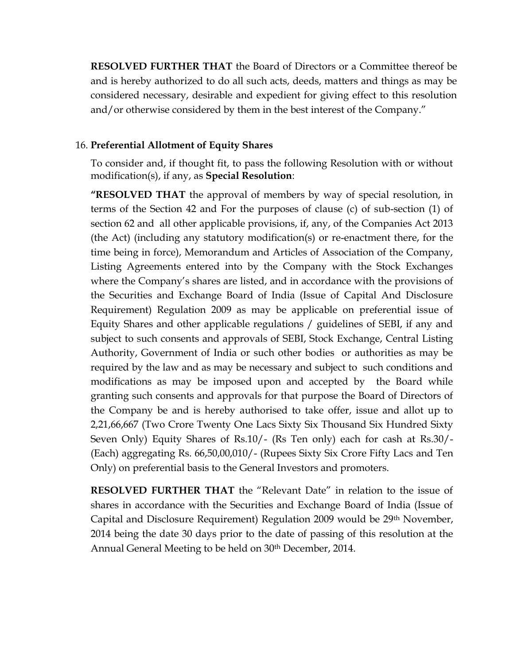**RESOLVED FURTHER THAT** the Board of Directors or a Committee thereof be and is hereby authorized to do all such acts, deeds, matters and things as may be considered necessary, desirable and expedient for giving effect to this resolution and/or otherwise considered by them in the best interest of the Company."

## 16. **Preferential Allotment of Equity Shares**

To consider and, if thought fit, to pass the following Resolution with or without modification(s), if any, as **Special Resolution**:

**"RESOLVED THAT** the approval of members by way of special resolution, in terms of the Section 42 and For the purposes of clause (c) of sub-section (1) of section 62 and all other applicable provisions, if, any, of the Companies Act 2013 (the Act) (including any statutory modification(s) or re-enactment there, for the time being in force), Memorandum and Articles of Association of the Company, Listing Agreements entered into by the Company with the Stock Exchanges where the Company's shares are listed, and in accordance with the provisions of the Securities and Exchange Board of India (Issue of Capital And Disclosure Requirement) Regulation 2009 as may be applicable on preferential issue of Equity Shares and other applicable regulations / guidelines of SEBI, if any and subject to such consents and approvals of SEBI, Stock Exchange, Central Listing Authority, Government of India or such other bodies or authorities as may be required by the law and as may be necessary and subject to such conditions and modifications as may be imposed upon and accepted by the Board while granting such consents and approvals for that purpose the Board of Directors of the Company be and is hereby authorised to take offer, issue and allot up to 2,21,66,667 (Two Crore Twenty One Lacs Sixty Six Thousand Six Hundred Sixty Seven Only) Equity Shares of Rs.10/- (Rs Ten only) each for cash at Rs.30/- (Each) aggregating Rs. 66,50,00,010/- (Rupees Sixty Six Crore Fifty Lacs and Ten Only) on preferential basis to the General Investors and promoters.

**RESOLVED FURTHER THAT** the "Relevant Date" in relation to the issue of shares in accordance with the Securities and Exchange Board of India (Issue of Capital and Disclosure Requirement) Regulation 2009 would be 29th November, 2014 being the date 30 days prior to the date of passing of this resolution at the Annual General Meeting to be held on 30th December, 2014.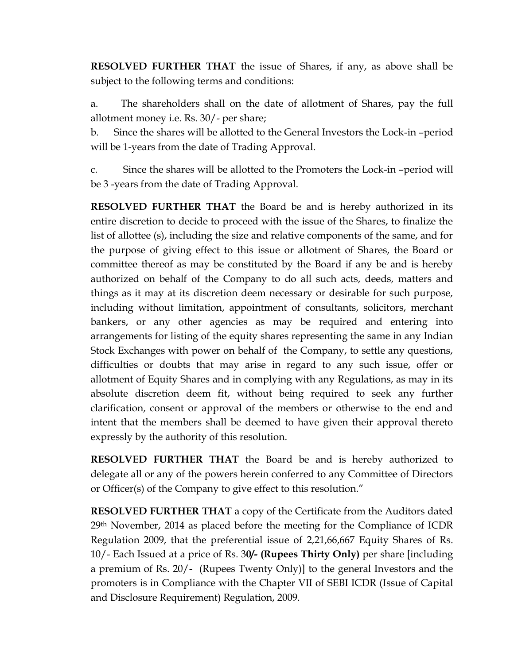**RESOLVED FURTHER THAT** the issue of Shares, if any, as above shall be subject to the following terms and conditions:

a. The shareholders shall on the date of allotment of Shares, pay the full allotment money i.e. Rs. 30/- per share;

b. Since the shares will be allotted to the General Investors the Lock-in –period will be 1-years from the date of Trading Approval.

c. Since the shares will be allotted to the Promoters the Lock-in –period will be 3 -years from the date of Trading Approval.

**RESOLVED FURTHER THAT** the Board be and is hereby authorized in its entire discretion to decide to proceed with the issue of the Shares, to finalize the list of allottee (s), including the size and relative components of the same, and for the purpose of giving effect to this issue or allotment of Shares, the Board or committee thereof as may be constituted by the Board if any be and is hereby authorized on behalf of the Company to do all such acts, deeds, matters and things as it may at its discretion deem necessary or desirable for such purpose, including without limitation, appointment of consultants, solicitors, merchant bankers, or any other agencies as may be required and entering into arrangements for listing of the equity shares representing the same in any Indian Stock Exchanges with power on behalf of the Company, to settle any questions, difficulties or doubts that may arise in regard to any such issue, offer or allotment of Equity Shares and in complying with any Regulations, as may in its absolute discretion deem fit, without being required to seek any further clarification, consent or approval of the members or otherwise to the end and intent that the members shall be deemed to have given their approval thereto expressly by the authority of this resolution.

**RESOLVED FURTHER THAT** the Board be and is hereby authorized to delegate all or any of the powers herein conferred to any Committee of Directors or Officer(s) of the Company to give effect to this resolution."

**RESOLVED FURTHER THAT** a copy of the Certificate from the Auditors dated 29th November, 2014 as placed before the meeting for the Compliance of ICDR Regulation 2009, that the preferential issue of 2,21,66,667 Equity Shares of Rs. 10/- Each Issued at a price of Rs. 3**0/- (Rupees Thirty Only)** per share [including a premium of Rs. 20/- (Rupees Twenty Only)] to the general Investors and the promoters is in Compliance with the Chapter VII of SEBI ICDR (Issue of Capital and Disclosure Requirement) Regulation, 2009.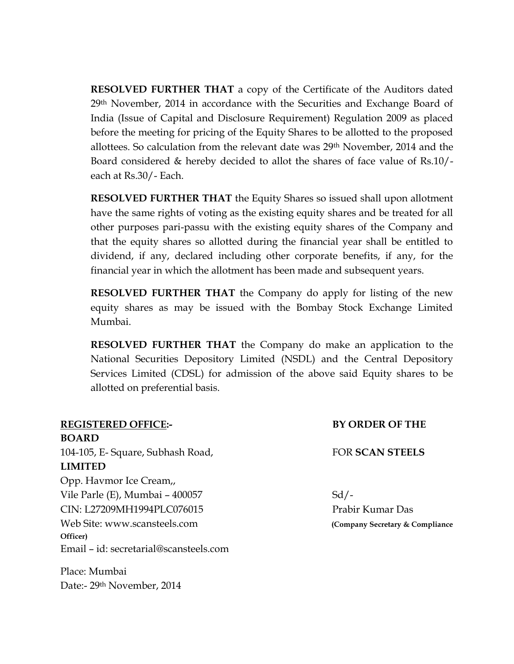**RESOLVED FURTHER THAT** a copy of the Certificate of the Auditors dated 29<sup>th</sup> November, 2014 in accordance with the Securities and Exchange Board of India (Issue of Capital and Disclosure Requirement) Regulation 2009 as placed before the meeting for pricing of the Equity Shares to be allotted to the proposed allottees. So calculation from the relevant date was 29th November, 2014 and the Board considered & hereby decided to allot the shares of face value of Rs.10/ each at Rs.30/- Each.

**RESOLVED FURTHER THAT** the Equity Shares so issued shall upon allotment have the same rights of voting as the existing equity shares and be treated for all other purposes pari-passu with the existing equity shares of the Company and that the equity shares so allotted during the financial year shall be entitled to dividend, if any, declared including other corporate benefits, if any, for the financial year in which the allotment has been made and subsequent years.

**RESOLVED FURTHER THAT** the Company do apply for listing of the new equity shares as may be issued with the Bombay Stock Exchange Limited Mumbai.

**RESOLVED FURTHER THAT** the Company do make an application to the National Securities Depository Limited (NSDL) and the Central Depository Services Limited (CDSL) for admission of the above said Equity shares to be allotted on preferential basis.

| <b>BY ORDER OF THE</b>           |
|----------------------------------|
|                                  |
| <b>FOR SCAN STEELS</b>           |
|                                  |
|                                  |
| $Sd$ /-                          |
| Prabir Kumar Das                 |
| (Company Secretary & Compliance) |
|                                  |
|                                  |
|                                  |

Place: Mumbai Date:- 29th November, 2014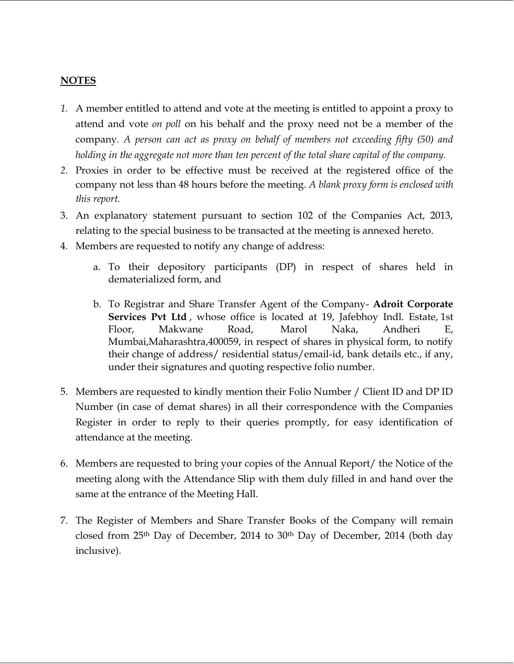## **NOTES**

- *1.* A member entitled to attend and vote at the meeting is entitled to appoint a proxy to attend and vote *on poll* on his behalf and the proxy need not be a member of the company*. A person can act as proxy on behalf of members not exceeding fifty (50) and holding in the aggregate not more than ten percent of the total share capital of the company.*
- *2.* Proxies in order to be effective must be received at the registered office of the company not less than 48 hours before the meeting. *A blank proxy form is enclosed with this report.*
- 3. An explanatory statement pursuant to section 102 of the Companies Act, 2013, relating to the special business to be transacted at the meeting is annexed hereto.
- 4. Members are requested to notify any change of address:
	- a. To their depository participants (DP) in respect of shares held in dematerialized form, and
	- b. To Registrar and Share Transfer Agent of the Company- **Adroit Corporate Services Pvt Ltd**, whose office is located at 19, Jafebhoy Indl. Estate, 1st Floor, Makwane Road, Marol Naka, Andheri E, Mumbai,Maharashtra,400059, in respect of shares in physical form, to notify their change of address/ residential status/email-id, bank details etc., if any, under their signatures and quoting respective folio number.
- 5. Members are requested to kindly mention their Folio Number / Client ID and DP ID Number (in case of demat shares) in all their correspondence with the Companies Register in order to reply to their queries promptly, for easy identification of attendance at the meeting.
- 6. Members are requested to bring your copies of the Annual Report/ the Notice of the meeting along with the Attendance Slip with them duly filled in and hand over the same at the entrance of the Meeting Hall.
- 7. The Register of Members and Share Transfer Books of the Company will remain closed from 25th Day of December, 2014 to 30th Day of December, 2014 (both day inclusive).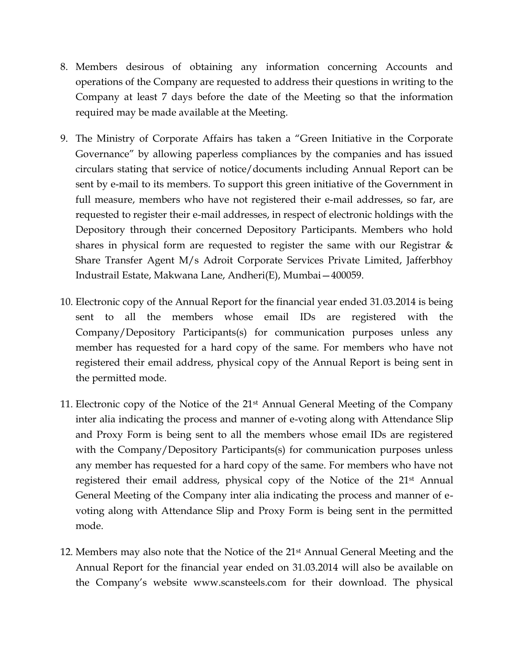- 8. Members desirous of obtaining any information concerning Accounts and operations of the Company are requested to address their questions in writing to the Company at least 7 days before the date of the Meeting so that the information required may be made available at the Meeting.
- 9. The Ministry of Corporate Affairs has taken a "Green Initiative in the Corporate Governance" by allowing paperless compliances by the companies and has issued circulars stating that service of notice/documents including Annual Report can be sent by e-mail to its members. To support this green initiative of the Government in full measure, members who have not registered their e-mail addresses, so far, are requested to register their e-mail addresses, in respect of electronic holdings with the Depository through their concerned Depository Participants. Members who hold shares in physical form are requested to register the same with our Registrar & Share Transfer Agent M/s Adroit Corporate Services Private Limited, Jafferbhoy Industrail Estate, Makwana Lane, Andheri(E), Mumbai—400059.
- 10. Electronic copy of the Annual Report for the financial year ended 31.03.2014 is being sent to all the members whose email IDs are registered with the Company/Depository Participants(s) for communication purposes unless any member has requested for a hard copy of the same. For members who have not registered their email address, physical copy of the Annual Report is being sent in the permitted mode.
- 11. Electronic copy of the Notice of the 21st Annual General Meeting of the Company inter alia indicating the process and manner of e-voting along with Attendance Slip and Proxy Form is being sent to all the members whose email IDs are registered with the Company/Depository Participants(s) for communication purposes unless any member has requested for a hard copy of the same. For members who have not registered their email address, physical copy of the Notice of the 21st Annual General Meeting of the Company inter alia indicating the process and manner of evoting along with Attendance Slip and Proxy Form is being sent in the permitted mode.
- 12. Members may also note that the Notice of the 21st Annual General Meeting and the Annual Report for the financial year ended on 31.03.2014 will also be available on the Company's website www.scansteels.com for their download. The physical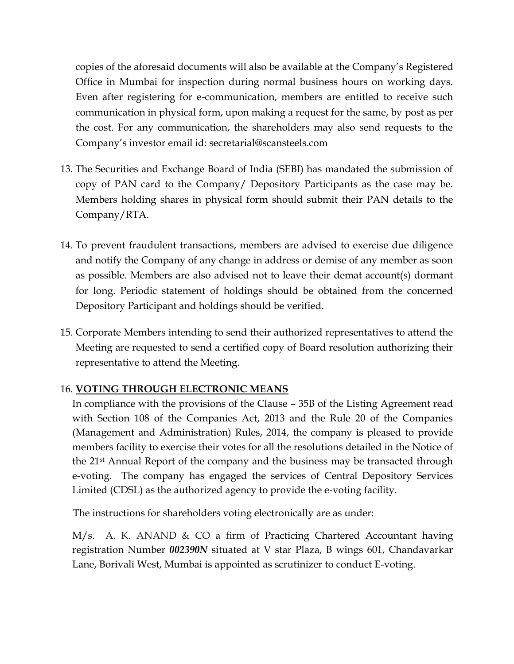copies of the aforesaid documents will also be available at the Company's Registered Office in Mumbai for inspection during normal business hours on working days. Even after registering for e-communication, members are entitled to receive such communication in physical form, upon making a request for the same, by post as per the cost. For any communication, the shareholders may also send requests to the Company's investor email id: secretarial@scansteels.com

- 13. The Securities and Exchange Board of India (SEBI) has mandated the submission of copy of PAN card to the Company/ Depository Participants as the case may be. Members holding shares in physical form should submit their PAN details to the Company/RTA.
- 14. To prevent fraudulent transactions, members are advised to exercise due diligence and notify the Company of any change in address or demise of any member as soon as possible. Members are also advised not to leave their demat account(s) dormant for long. Periodic statement of holdings should be obtained from the concerned Depository Participant and holdings should be verified.
- 15. Corporate Members intending to send their authorized representatives to attend the Meeting are requested to send a certified copy of Board resolution authorizing their representative to attend the Meeting.

# 16. **VOTING THROUGH ELECTRONIC MEANS**

In compliance with the provisions of the Clause – 35B of the Listing Agreement read with Section 108 of the Companies Act, 2013 and the Rule 20 of the Companies (Management and Administration) Rules, 2014, the company is pleased to provide members facility to exercise their votes for all the resolutions detailed in the Notice of the 21st Annual Report of the company and the business may be transacted through e-voting. The company has engaged the services of Central Depository Services Limited (CDSL) as the authorized agency to provide the e-voting facility.

The instructions for shareholders voting electronically are as under:

M/s. A. K. ANAND & CO a firm of Practicing Chartered Accountant having registration Number *002390N* situated at V star Plaza, B wings 601, Chandavarkar Lane, Borivali West, Mumbai is appointed as scrutinizer to conduct E-voting.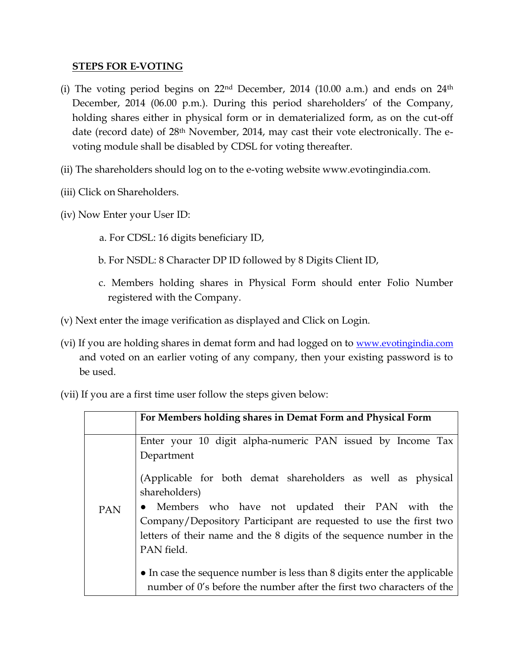## **STEPS FOR E-VOTING**

- (i) The voting period begins on  $22<sup>nd</sup>$  December, 2014 (10.00 a.m.) and ends on  $24<sup>th</sup>$ December, 2014 (06.00 p.m.). During this period shareholders' of the Company, holding shares either in physical form or in dematerialized form, as on the cut-off date (record date) of 28th November, 2014, may cast their vote electronically. The evoting module shall be disabled by CDSL for voting thereafter.
- (ii) The shareholders should log on to the e-voting website www.evotingindia.com.
- (iii) Click on Shareholders.
- (iv) Now Enter your User ID:
	- a. For CDSL: 16 digits beneficiary ID,
	- b. For NSDL: 8 Character DP ID followed by 8 Digits Client ID,
	- c. Members holding shares in Physical Form should enter Folio Number registered with the Company.
- (v) Next enter the image verification as displayed and Click on Login.
- (vi) If you are holding shares in demat form and had logged on to <u>[www.evotingindia.com](http://www.evotingindia.com/)</u> and voted on an earlier voting of any company, then your existing password is to be used.

(vii) If you are a first time user follow the steps given below:

|     | For Members holding shares in Demat Form and Physical Form               |
|-----|--------------------------------------------------------------------------|
|     |                                                                          |
|     | Enter your 10 digit alpha-numeric PAN issued by Income Tax               |
|     | Department                                                               |
|     | (Applicable for both demat shareholders as well as physical              |
|     | shareholders)                                                            |
| PAN | • Members who have not updated their PAN with the                        |
|     | Company/Depository Participant are requested to use the first two        |
|     | letters of their name and the 8 digits of the sequence number in the     |
|     | PAN field.                                                               |
|     |                                                                          |
|     | • In case the sequence number is less than 8 digits enter the applicable |
|     | number of 0's before the number after the first two characters of the    |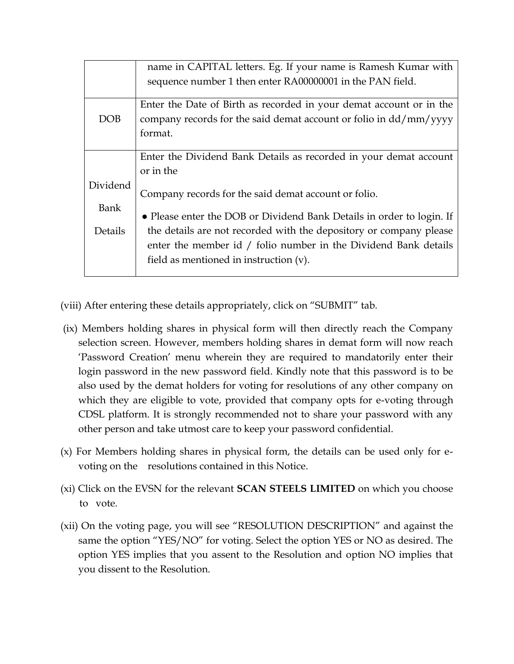|                                                      | name in CAPITAL letters. Eg. If your name is Ramesh Kumar with               |  |  |  |  |  |
|------------------------------------------------------|------------------------------------------------------------------------------|--|--|--|--|--|
|                                                      | sequence number 1 then enter RA00000001 in the PAN field.                    |  |  |  |  |  |
|                                                      |                                                                              |  |  |  |  |  |
|                                                      | Enter the Date of Birth as recorded in your demat account or in the          |  |  |  |  |  |
| DOB                                                  | company records for the said demat account or folio in $\frac{dd}{mm}$ /yyyy |  |  |  |  |  |
|                                                      | format.                                                                      |  |  |  |  |  |
|                                                      |                                                                              |  |  |  |  |  |
|                                                      | Enter the Dividend Bank Details as recorded in your demat account            |  |  |  |  |  |
|                                                      | or in the                                                                    |  |  |  |  |  |
| Dividend                                             |                                                                              |  |  |  |  |  |
| Company records for the said demat account or folio. |                                                                              |  |  |  |  |  |
| Bank                                                 | • Please enter the DOB or Dividend Bank Details in order to login. If        |  |  |  |  |  |
|                                                      |                                                                              |  |  |  |  |  |
| Details                                              | the details are not recorded with the depository or company please           |  |  |  |  |  |
|                                                      | enter the member id / folio number in the Dividend Bank details              |  |  |  |  |  |
|                                                      | field as mentioned in instruction $(v)$ .                                    |  |  |  |  |  |
|                                                      |                                                                              |  |  |  |  |  |

(viii) After entering these details appropriately, click on "SUBMIT" tab.

- (ix) Members holding shares in physical form will then directly reach the Company selection screen. However, members holding shares in demat form will now reach 'Password Creation' menu wherein they are required to mandatorily enter their login password in the new password field. Kindly note that this password is to be also used by the demat holders for voting for resolutions of any other company on which they are eligible to vote, provided that company opts for e-voting through CDSL platform. It is strongly recommended not to share your password with any other person and take utmost care to keep your password confidential.
- (x) For Members holding shares in physical form, the details can be used only for evoting on the resolutions contained in this Notice.
- (xi) Click on the EVSN for the relevant **SCAN STEELS LIMITED** on which you choose to vote.
- (xii) On the voting page, you will see "RESOLUTION DESCRIPTION" and against the same the option "YES/NO" for voting. Select the option YES or NO as desired. The option YES implies that you assent to the Resolution and option NO implies that you dissent to the Resolution.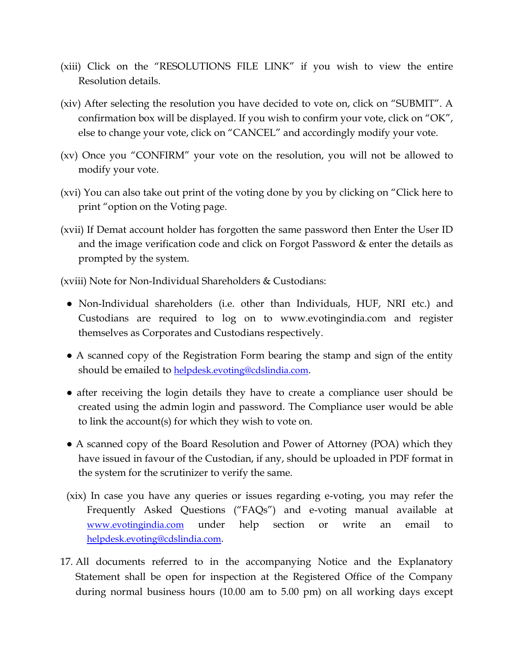- (xiii) Click on the "RESOLUTIONS FILE LINK" if you wish to view the entire Resolution details.
- (xiv) After selecting the resolution you have decided to vote on, click on "SUBMIT". A confirmation box will be displayed. If you wish to confirm your vote, click on "OK", else to change your vote, click on "CANCEL" and accordingly modify your vote.
- (xv) Once you "CONFIRM" your vote on the resolution, you will not be allowed to modify your vote.
- (xvi) You can also take out print of the voting done by you by clicking on "Click here to print "option on the Voting page.
- (xvii) If Demat account holder has forgotten the same password then Enter the User ID and the image verification code and click on Forgot Password & enter the details as prompted by the system.

(xviii) Note for Non-Individual Shareholders & Custodians:

- Non-Individual shareholders (i.e. other than Individuals, HUF, NRI etc.) and Custodians are required to log on to www.evotingindia.com and register themselves as Corporates and Custodians respectively.
- A scanned copy of the Registration Form bearing the stamp and sign of the entity should be emailed to [helpdesk.evoting@cdslindia.com](mailto:helpdesk.evoting@cdslindia.com).
- after receiving the login details they have to create a compliance user should be created using the admin login and password. The Compliance user would be able to link the account(s) for which they wish to vote on.
- A scanned copy of the Board Resolution and Power of Attorney (POA) which they have issued in favour of the Custodian, if any, should be uploaded in PDF format in the system for the scrutinizer to verify the same.
- (xix) In case you have any queries or issues regarding e-voting, you may refer the Frequently Asked Questions ("FAQs") and e-voting manual available at [www.evotingindia.com](http://www.evotingindia.com/) under help section or write an email to [helpdesk.evoting@cdslindia.com](mailto:helpdesk.evoting@cdslindia.com).
- 17. All documents referred to in the accompanying Notice and the Explanatory Statement shall be open for inspection at the Registered Office of the Company during normal business hours (10.00 am to 5.00 pm) on all working days except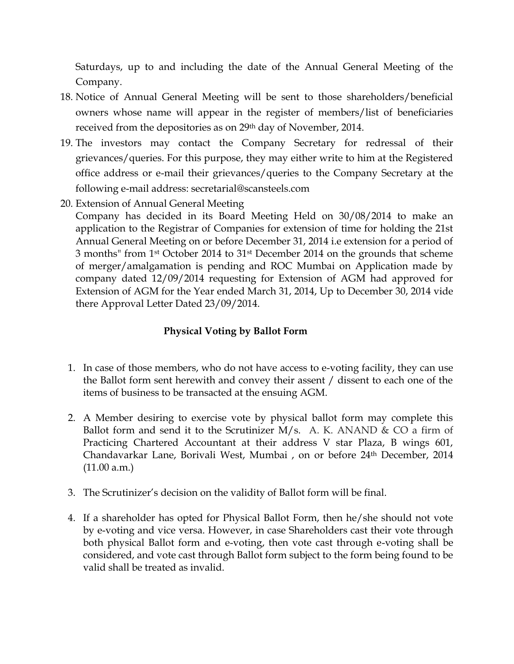Saturdays, up to and including the date of the Annual General Meeting of the Company.

- 18. Notice of Annual General Meeting will be sent to those shareholders/beneficial owners whose name will appear in the register of members/list of beneficiaries received from the depositories as on 29<sup>th</sup> day of November, 2014.
- 19. The investors may contact the Company Secretary for redressal of their grievances/queries. For this purpose, they may either write to him at the Registered office address or e-mail their grievances/queries to the Company Secretary at the following e-mail address: secretarial@scansteels.com
- 20. Extension of Annual General Meeting

Company has decided in its Board Meeting Held on 30/08/2014 to make an application to the Registrar of Companies for extension of time for holding the 21st Annual General Meeting on or before December 31, 2014 i.e extension for a period of 3 months" from 1st October 2014 to 31st December 2014 on the grounds that scheme of merger/amalgamation is pending and ROC Mumbai on Application made by company dated 12/09/2014 requesting for Extension of AGM had approved for Extension of AGM for the Year ended March 31, 2014, Up to December 30, 2014 vide there Approval Letter Dated 23/09/2014.

# **Physical Voting by Ballot Form**

- 1. In case of those members, who do not have access to e-voting facility, they can use the Ballot form sent herewith and convey their assent / dissent to each one of the items of business to be transacted at the ensuing AGM.
- 2. A Member desiring to exercise vote by physical ballot form may complete this Ballot form and send it to the Scrutinizer M/s. A. K. ANAND  $& CO$  a firm of Practicing Chartered Accountant at their address V star Plaza, B wings 601, Chandavarkar Lane, Borivali West, Mumbai , on or before 24th December, 2014  $(11.00 a.m.)$
- 3. The Scrutinizer's decision on the validity of Ballot form will be final.
- 4. If a shareholder has opted for Physical Ballot Form, then he/she should not vote by e-voting and vice versa. However, in case Shareholders cast their vote through both physical Ballot form and e-voting, then vote cast through e-voting shall be considered, and vote cast through Ballot form subject to the form being found to be valid shall be treated as invalid.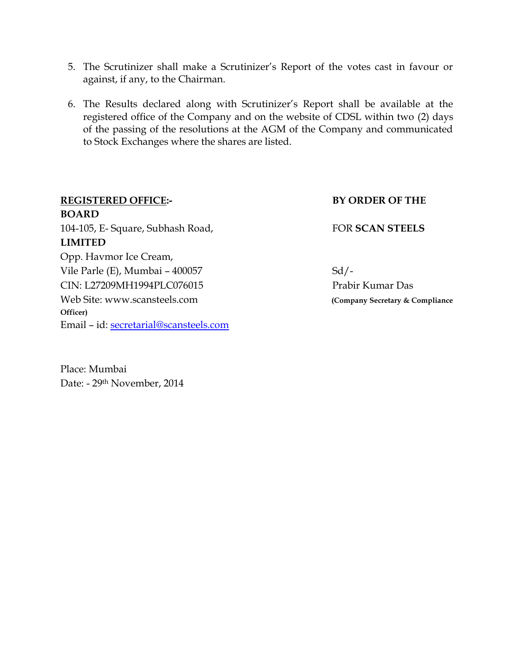- 5. The Scrutinizer shall make a Scrutinizer's Report of the votes cast in favour or against, if any, to the Chairman.
- 6. The Results declared along with Scrutinizer's Report shall be available at the registered office of the Company and on the website of CDSL within two (2) days of the passing of the resolutions at the AGM of the Company and communicated to Stock Exchanges where the shares are listed.

| <b>REGISTERED OFFICE:-</b>             | <b>BY ORDER OF THE</b>          |
|----------------------------------------|---------------------------------|
| <b>BOARD</b>                           |                                 |
| 104-105, E- Square, Subhash Road,      | <b>FOR SCAN STEELS</b>          |
| <b>LIMITED</b>                         |                                 |
| Opp. Havmor Ice Cream,                 |                                 |
| Vile Parle (E), Mumbai - 400057        | $Sd/-$                          |
| CIN: L27209MH1994PLC076015             | Prabir Kumar Das                |
| Web Site: www.scansteels.com           | (Company Secretary & Compliance |
| Officer)                               |                                 |
| Email - id: secretarial@scansteels.com |                                 |

Place: Mumbai Date: - 29th November, 2014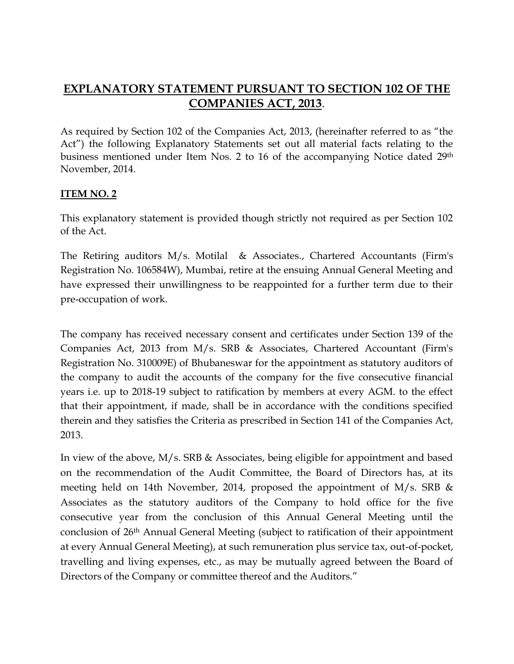# **EXPLANATORY STATEMENT PURSUANT TO SECTION 102 OF THE COMPANIES ACT, 2013**.

As required by Section 102 of the Companies Act, 2013, (hereinafter referred to as "the Act") the following Explanatory Statements set out all material facts relating to the business mentioned under Item Nos. 2 to 16 of the accompanying Notice dated 29th November, 2014.

# **ITEM NO. 2**

This explanatory statement is provided though strictly not required as per Section 102 of the Act.

The Retiring auditors M/s. Motilal & Associates., Chartered Accountants (Firm's Registration No. 106584W), Mumbai, retire at the ensuing Annual General Meeting and have expressed their unwillingness to be reappointed for a further term due to their pre-occupation of work.

The company has received necessary consent and certificates under Section 139 of the Companies Act, 2013 from M/s. SRB & Associates, Chartered Accountant (Firm's Registration No. 310009E) of Bhubaneswar for the appointment as statutory auditors of the company to audit the accounts of the company for the five consecutive financial years i.e. up to 2018-19 subject to ratification by members at every AGM. to the effect that their appointment, if made, shall be in accordance with the conditions specified therein and they satisfies the Criteria as prescribed in Section 141 of the Companies Act, 2013.

In view of the above, M/s. SRB & Associates, being eligible for appointment and based on the recommendation of the Audit Committee, the Board of Directors has, at its meeting held on 14th November, 2014, proposed the appointment of M/s. SRB & Associates as the statutory auditors of the Company to hold office for the five consecutive year from the conclusion of this Annual General Meeting until the conclusion of 26th Annual General Meeting (subject to ratification of their appointment at every Annual General Meeting), at such remuneration plus service tax, out-of-pocket, travelling and living expenses, etc., as may be mutually agreed between the Board of Directors of the Company or committee thereof and the Auditors."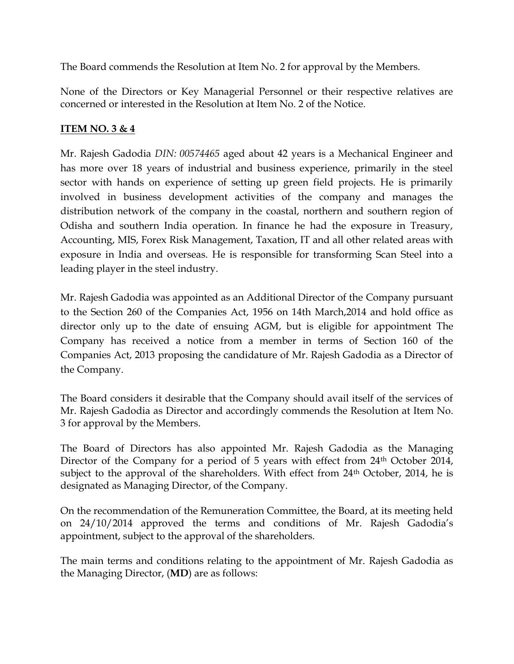The Board commends the Resolution at Item No. 2 for approval by the Members.

None of the Directors or Key Managerial Personnel or their respective relatives are concerned or interested in the Resolution at Item No. 2 of the Notice.

# **ITEM NO. 3 & 4**

Mr. Rajesh Gadodia *DIN: 00574465* aged about 42 years is a Mechanical Engineer and has more over 18 years of industrial and business experience, primarily in the steel sector with hands on experience of setting up green field projects. He is primarily involved in business development activities of the company and manages the distribution network of the company in the coastal, northern and southern region of Odisha and southern India operation. In finance he had the exposure in Treasury, Accounting, MIS, Forex Risk Management, Taxation, IT and all other related areas with exposure in India and overseas. He is responsible for transforming Scan Steel into a leading player in the steel industry.

Mr. Rajesh Gadodia was appointed as an Additional Director of the Company pursuant to the Section 260 of the Companies Act, 1956 on 14th March,2014 and hold office as director only up to the date of ensuing AGM, but is eligible for appointment The Company has received a notice from a member in terms of Section 160 of the Companies Act, 2013 proposing the candidature of Mr. Rajesh Gadodia as a Director of the Company.

The Board considers it desirable that the Company should avail itself of the services of Mr. Rajesh Gadodia as Director and accordingly commends the Resolution at Item No. 3 for approval by the Members.

The Board of Directors has also appointed Mr. Rajesh Gadodia as the Managing Director of the Company for a period of 5 years with effect from 24<sup>th</sup> October 2014, subject to the approval of the shareholders. With effect from 24<sup>th</sup> October, 2014, he is designated as Managing Director, of the Company.

On the recommendation of the Remuneration Committee, the Board, at its meeting held on 24/10/2014 approved the terms and conditions of Mr. Rajesh Gadodia's appointment, subject to the approval of the shareholders.

The main terms and conditions relating to the appointment of Mr. Rajesh Gadodia as the Managing Director, (**MD**) are as follows: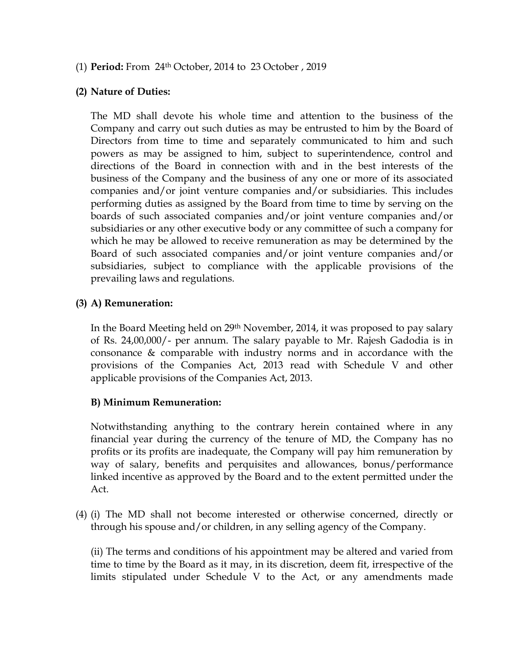## (1) **Period:** From 24th October, 2014 to 23 October , 2019

### **(2) Nature of Duties:**

The MD shall devote his whole time and attention to the business of the Company and carry out such duties as may be entrusted to him by the Board of Directors from time to time and separately communicated to him and such powers as may be assigned to him, subject to superintendence, control and directions of the Board in connection with and in the best interests of the business of the Company and the business of any one or more of its associated companies and/or joint venture companies and/or subsidiaries. This includes performing duties as assigned by the Board from time to time by serving on the boards of such associated companies and/or joint venture companies and/or subsidiaries or any other executive body or any committee of such a company for which he may be allowed to receive remuneration as may be determined by the Board of such associated companies and/or joint venture companies and/or subsidiaries, subject to compliance with the applicable provisions of the prevailing laws and regulations.

## **(3) A) Remuneration:**

In the Board Meeting held on 29th November, 2014, it was proposed to pay salary of Rs. 24,00,000/- per annum. The salary payable to Mr. Rajesh Gadodia is in consonance & comparable with industry norms and in accordance with the provisions of the Companies Act, 2013 read with Schedule V and other applicable provisions of the Companies Act, 2013.

## **B) Minimum Remuneration:**

Notwithstanding anything to the contrary herein contained where in any financial year during the currency of the tenure of MD, the Company has no profits or its profits are inadequate, the Company will pay him remuneration by way of salary, benefits and perquisites and allowances, bonus/performance linked incentive as approved by the Board and to the extent permitted under the Act.

(4) (i) The MD shall not become interested or otherwise concerned, directly or through his spouse and/or children, in any selling agency of the Company.

 (ii) The terms and conditions of his appointment may be altered and varied from time to time by the Board as it may, in its discretion, deem fit, irrespective of the limits stipulated under Schedule V to the Act, or any amendments made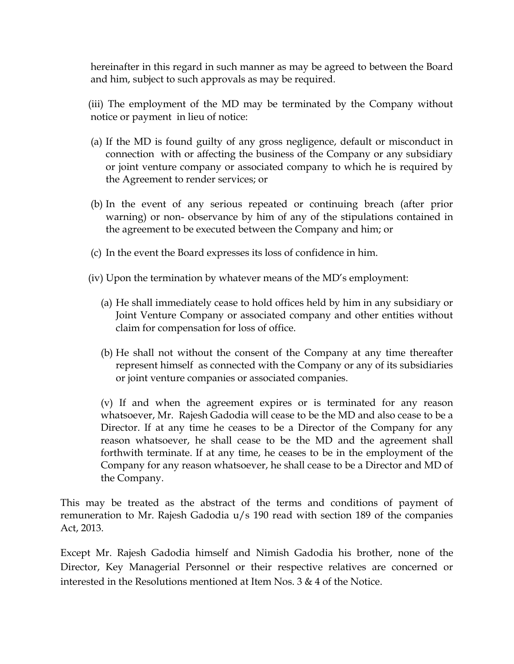hereinafter in this regard in such manner as may be agreed to between the Board and him, subject to such approvals as may be required.

 (iii) The employment of the MD may be terminated by the Company without notice or payment in lieu of notice:

- (a) If the MD is found guilty of any gross negligence, default or misconduct in connection with or affecting the business of the Company or any subsidiary or joint venture company or associated company to which he is required by the Agreement to render services; or
- (b) In the event of any serious repeated or continuing breach (after prior warning) or non- observance by him of any of the stipulations contained in the agreement to be executed between the Company and him; or
- (c) In the event the Board expresses its loss of confidence in him.
- (iv) Upon the termination by whatever means of the MD's employment:
	- (a) He shall immediately cease to hold offices held by him in any subsidiary or Joint Venture Company or associated company and other entities without claim for compensation for loss of office.
	- (b) He shall not without the consent of the Company at any time thereafter represent himself as connected with the Company or any of its subsidiaries or joint venture companies or associated companies.

 (v) If and when the agreement expires or is terminated for any reason whatsoever, Mr. Rajesh Gadodia will cease to be the MD and also cease to be a Director. If at any time he ceases to be a Director of the Company for any reason whatsoever, he shall cease to be the MD and the agreement shall forthwith terminate. If at any time, he ceases to be in the employment of the Company for any reason whatsoever, he shall cease to be a Director and MD of the Company.

This may be treated as the abstract of the terms and conditions of payment of remuneration to Mr. Rajesh Gadodia u/s 190 read with section 189 of the companies Act, 2013.

Except Mr. Rajesh Gadodia himself and Nimish Gadodia his brother, none of the Director, Key Managerial Personnel or their respective relatives are concerned or interested in the Resolutions mentioned at Item Nos. 3 & 4 of the Notice.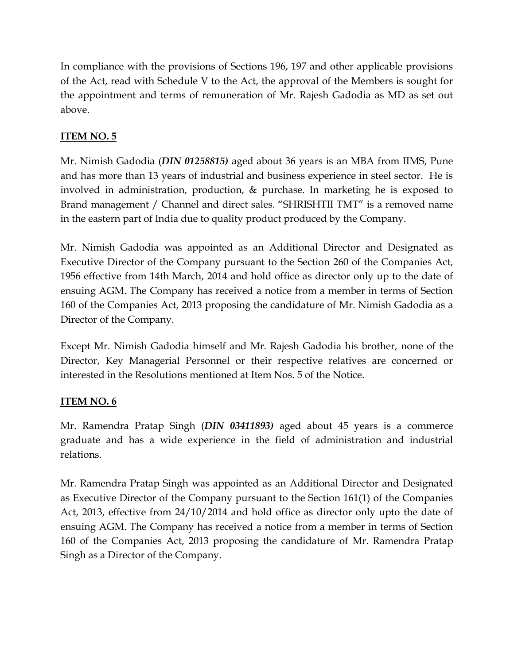In compliance with the provisions of Sections 196, 197 and other applicable provisions of the Act, read with Schedule V to the Act, the approval of the Members is sought for the appointment and terms of remuneration of Mr. Rajesh Gadodia as MD as set out above.

# **ITEM NO. 5**

Mr. Nimish Gadodia (*DIN 01258815)* aged about 36 years is an MBA from IIMS, Pune and has more than 13 years of industrial and business experience in steel sector. He is involved in administration, production, & purchase. In marketing he is exposed to Brand management / Channel and direct sales. "SHRISHTII TMT" is a removed name in the eastern part of India due to quality product produced by the Company.

Mr. Nimish Gadodia was appointed as an Additional Director and Designated as Executive Director of the Company pursuant to the Section 260 of the Companies Act, 1956 effective from 14th March, 2014 and hold office as director only up to the date of ensuing AGM. The Company has received a notice from a member in terms of Section 160 of the Companies Act, 2013 proposing the candidature of Mr. Nimish Gadodia as a Director of the Company.

Except Mr. Nimish Gadodia himself and Mr. Rajesh Gadodia his brother, none of the Director, Key Managerial Personnel or their respective relatives are concerned or interested in the Resolutions mentioned at Item Nos. 5 of the Notice.

# **ITEM NO. 6**

Mr. Ramendra Pratap Singh (*DIN 03411893)* aged about 45 years is a commerce graduate and has a wide experience in the field of administration and industrial relations.

Mr. Ramendra Pratap Singh was appointed as an Additional Director and Designated as Executive Director of the Company pursuant to the Section 161(1) of the Companies Act, 2013, effective from 24/10/2014 and hold office as director only upto the date of ensuing AGM. The Company has received a notice from a member in terms of Section 160 of the Companies Act, 2013 proposing the candidature of Mr. Ramendra Pratap Singh as a Director of the Company.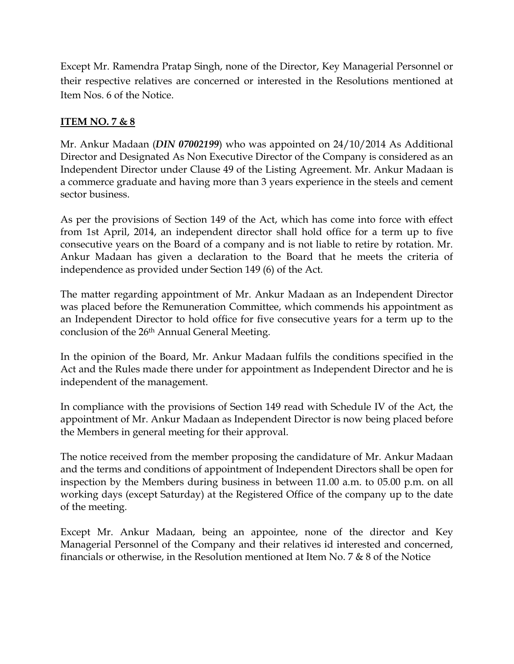Except Mr. Ramendra Pratap Singh, none of the Director, Key Managerial Personnel or their respective relatives are concerned or interested in the Resolutions mentioned at Item Nos. 6 of the Notice.

# **ITEM NO. 7 & 8**

Mr. Ankur Madaan (*DIN 07002199*) who was appointed on 24/10/2014 As Additional Director and Designated As Non Executive Director of the Company is considered as an Independent Director under Clause 49 of the Listing Agreement. Mr. Ankur Madaan is a commerce graduate and having more than 3 years experience in the steels and cement sector business.

As per the provisions of Section 149 of the Act, which has come into force with effect from 1st April, 2014, an independent director shall hold office for a term up to five consecutive years on the Board of a company and is not liable to retire by rotation. Mr. Ankur Madaan has given a declaration to the Board that he meets the criteria of independence as provided under Section 149 (6) of the Act.

The matter regarding appointment of Mr. Ankur Madaan as an Independent Director was placed before the Remuneration Committee, which commends his appointment as an Independent Director to hold office for five consecutive years for a term up to the conclusion of the 26th Annual General Meeting.

In the opinion of the Board, Mr. Ankur Madaan fulfils the conditions specified in the Act and the Rules made there under for appointment as Independent Director and he is independent of the management.

In compliance with the provisions of Section 149 read with Schedule IV of the Act, the appointment of Mr. Ankur Madaan as Independent Director is now being placed before the Members in general meeting for their approval.

The notice received from the member proposing the candidature of Mr. Ankur Madaan and the terms and conditions of appointment of Independent Directors shall be open for inspection by the Members during business in between 11.00 a.m. to 05.00 p.m. on all working days (except Saturday) at the Registered Office of the company up to the date of the meeting.

Except Mr. Ankur Madaan, being an appointee, none of the director and Key Managerial Personnel of the Company and their relatives id interested and concerned, financials or otherwise, in the Resolution mentioned at Item No. 7 & 8 of the Notice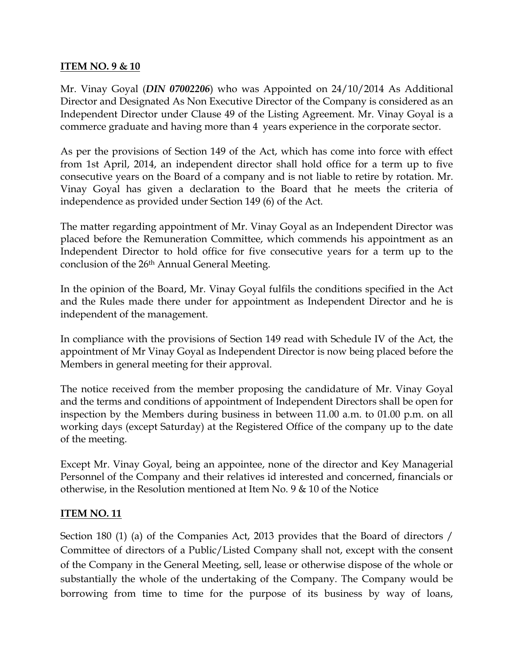## **ITEM NO. 9 & 10**

Mr. Vinay Goyal (*DIN 07002206*) who was Appointed on 24/10/2014 As Additional Director and Designated As Non Executive Director of the Company is considered as an Independent Director under Clause 49 of the Listing Agreement. Mr. Vinay Goyal is a commerce graduate and having more than 4 years experience in the corporate sector.

As per the provisions of Section 149 of the Act, which has come into force with effect from 1st April, 2014, an independent director shall hold office for a term up to five consecutive years on the Board of a company and is not liable to retire by rotation. Mr. Vinay Goyal has given a declaration to the Board that he meets the criteria of independence as provided under Section 149 (6) of the Act.

The matter regarding appointment of Mr. Vinay Goyal as an Independent Director was placed before the Remuneration Committee, which commends his appointment as an Independent Director to hold office for five consecutive years for a term up to the conclusion of the 26th Annual General Meeting.

In the opinion of the Board, Mr. Vinay Goyal fulfils the conditions specified in the Act and the Rules made there under for appointment as Independent Director and he is independent of the management.

In compliance with the provisions of Section 149 read with Schedule IV of the Act, the appointment of Mr Vinay Goyal as Independent Director is now being placed before the Members in general meeting for their approval.

The notice received from the member proposing the candidature of Mr. Vinay Goyal and the terms and conditions of appointment of Independent Directors shall be open for inspection by the Members during business in between 11.00 a.m. to 01.00 p.m. on all working days (except Saturday) at the Registered Office of the company up to the date of the meeting.

Except Mr. Vinay Goyal, being an appointee, none of the director and Key Managerial Personnel of the Company and their relatives id interested and concerned, financials or otherwise, in the Resolution mentioned at Item No. 9 & 10 of the Notice

# **ITEM NO. 11**

Section 180 (1) (a) of the Companies Act, 2013 provides that the Board of directors / Committee of directors of a Public/Listed Company shall not, except with the consent of the Company in the General Meeting, sell, lease or otherwise dispose of the whole or substantially the whole of the undertaking of the Company. The Company would be borrowing from time to time for the purpose of its business by way of loans,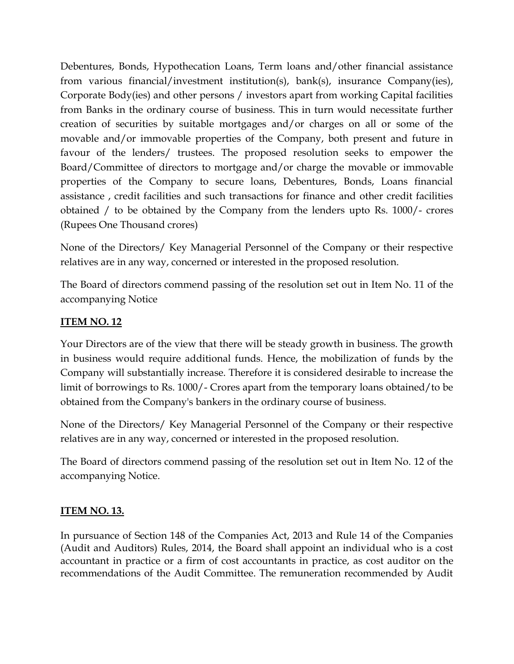Debentures, Bonds, Hypothecation Loans, Term loans and/other financial assistance from various financial/investment institution(s), bank(s), insurance Company(ies), Corporate Body(ies) and other persons / investors apart from working Capital facilities from Banks in the ordinary course of business. This in turn would necessitate further creation of securities by suitable mortgages and/or charges on all or some of the movable and/or immovable properties of the Company, both present and future in favour of the lenders/ trustees. The proposed resolution seeks to empower the Board/Committee of directors to mortgage and/or charge the movable or immovable properties of the Company to secure loans, Debentures, Bonds, Loans financial assistance , credit facilities and such transactions for finance and other credit facilities obtained / to be obtained by the Company from the lenders upto Rs. 1000/- crores (Rupees One Thousand crores)

None of the Directors/ Key Managerial Personnel of the Company or their respective relatives are in any way, concerned or interested in the proposed resolution.

The Board of directors commend passing of the resolution set out in Item No. 11 of the accompanying Notice

# **ITEM NO. 12**

Your Directors are of the view that there will be steady growth in business. The growth in business would require additional funds. Hence, the mobilization of funds by the Company will substantially increase. Therefore it is considered desirable to increase the limit of borrowings to Rs. 1000/- Crores apart from the temporary loans obtained/to be obtained from the Company's bankers in the ordinary course of business.

None of the Directors/ Key Managerial Personnel of the Company or their respective relatives are in any way, concerned or interested in the proposed resolution.

The Board of directors commend passing of the resolution set out in Item No. 12 of the accompanying Notice.

# **ITEM NO. 13.**

In pursuance of Section 148 of the Companies Act, 2013 and Rule 14 of the Companies (Audit and Auditors) Rules, 2014, the Board shall appoint an individual who is a cost accountant in practice or a firm of cost accountants in practice, as cost auditor on the recommendations of the Audit Committee. The remuneration recommended by Audit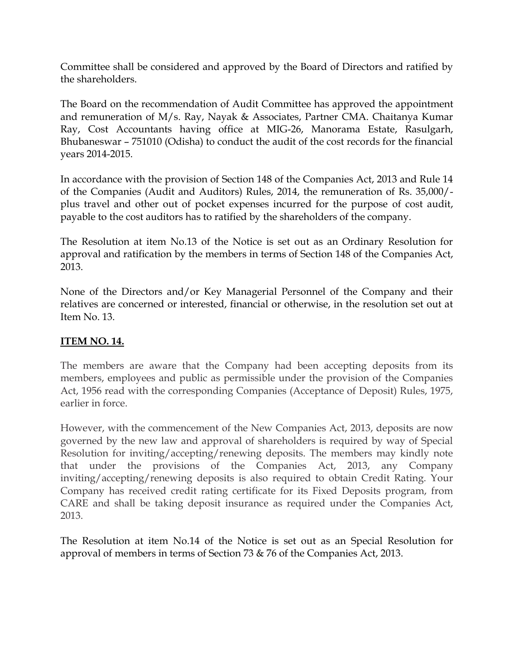Committee shall be considered and approved by the Board of Directors and ratified by the shareholders.

The Board on the recommendation of Audit Committee has approved the appointment and remuneration of M/s. Ray, Nayak & Associates, Partner CMA. Chaitanya Kumar Ray, Cost Accountants having office at MIG-26, Manorama Estate, Rasulgarh, Bhubaneswar – 751010 (Odisha) to conduct the audit of the cost records for the financial years 2014-2015.

In accordance with the provision of Section 148 of the Companies Act, 2013 and Rule 14 of the Companies (Audit and Auditors) Rules, 2014, the remuneration of Rs. 35,000/ plus travel and other out of pocket expenses incurred for the purpose of cost audit, payable to the cost auditors has to ratified by the shareholders of the company.

The Resolution at item No.13 of the Notice is set out as an Ordinary Resolution for approval and ratification by the members in terms of Section 148 of the Companies Act, 2013.

None of the Directors and/or Key Managerial Personnel of the Company and their relatives are concerned or interested, financial or otherwise, in the resolution set out at Item No. 13.

# **ITEM NO. 14.**

The members are aware that the Company had been accepting deposits from its members, employees and public as permissible under the provision of the Companies Act, 1956 read with the corresponding Companies (Acceptance of Deposit) Rules, 1975, earlier in force.

However, with the commencement of the New Companies Act, 2013, deposits are now governed by the new law and approval of shareholders is required by way of Special Resolution for inviting/accepting/renewing deposits. The members may kindly note that under the provisions of the Companies Act, 2013, any Company inviting/accepting/renewing deposits is also required to obtain Credit Rating. Your Company has received credit rating certificate for its Fixed Deposits program, from CARE and shall be taking deposit insurance as required under the Companies Act, 2013.

The Resolution at item No.14 of the Notice is set out as an Special Resolution for approval of members in terms of Section 73 & 76 of the Companies Act, 2013.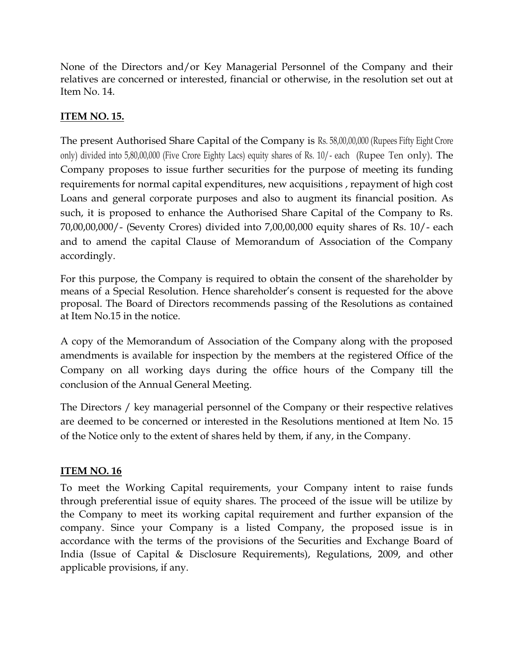None of the Directors and/or Key Managerial Personnel of the Company and their relatives are concerned or interested, financial or otherwise, in the resolution set out at Item No. 14.

# **ITEM NO. 15.**

The present Authorised Share Capital of the Company is Rs. 58,00,00,000 (Rupees Fifty Eight Crore only) divided into 5,80,00,000 (Five Crore Eighty Lacs) equity shares of Rs. 10/- each (Rupee Ten only). The Company proposes to issue further securities for the purpose of meeting its funding requirements for normal capital expenditures, new acquisitions , repayment of high cost Loans and general corporate purposes and also to augment its financial position. As such, it is proposed to enhance the Authorised Share Capital of the Company to Rs. 70,00,00,000/- (Seventy Crores) divided into 7,00,00,000 equity shares of Rs. 10/- each and to amend the capital Clause of Memorandum of Association of the Company accordingly.

For this purpose, the Company is required to obtain the consent of the shareholder by means of a Special Resolution. Hence shareholder's consent is requested for the above proposal. The Board of Directors recommends passing of the Resolutions as contained at Item No.15 in the notice.

A copy of the Memorandum of Association of the Company along with the proposed amendments is available for inspection by the members at the registered Office of the Company on all working days during the office hours of the Company till the conclusion of the Annual General Meeting.

The Directors / key managerial personnel of the Company or their respective relatives are deemed to be concerned or interested in the Resolutions mentioned at Item No. 15 of the Notice only to the extent of shares held by them, if any, in the Company.

# **ITEM NO. 16**

To meet the Working Capital requirements, your Company intent to raise funds through preferential issue of equity shares. The proceed of the issue will be utilize by the Company to meet its working capital requirement and further expansion of the company. Since your Company is a listed Company, the proposed issue is in accordance with the terms of the provisions of the Securities and Exchange Board of India (Issue of Capital & Disclosure Requirements), Regulations, 2009, and other applicable provisions, if any.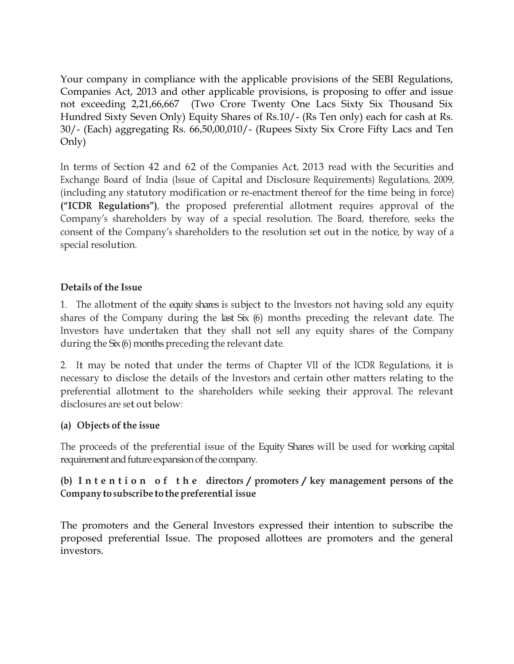Your company in compliance with the applicable provisions of the SEBI Regulations, Companies Act, 2013 and other applicable provisions, is proposing to offer and issue not exceeding 2,21,66,667 (Two Crore Twenty One Lacs Sixty Six Thousand Six Hundred Sixty Seven Only) Equity Shares of Rs.10/- (Rs Ten only) each for cash at Rs. 30/- (Each) aggregating Rs. 66,50,00,010/- (Rupees Sixty Six Crore Fifty Lacs and Ten Only)

In terms of Section 42 and 62 of the Companies Act, 2013 read with the Securities and Exchange Board of India (Issue of Capital and Disclosure Requirements) Regulations, 2009, (including any statutory modification or re-enactment thereof for the time being in force) **("ICDR Regulations")**, the proposed preferential allotment requires approval of the Company'<sup>s</sup> shareholders by way of a special resolution. The Board, therefore, seeks the consent of the Company'<sup>s</sup> shareholders to the resolution set out in the notice, by way of a special resolution.

# **Details** of the Issue

1. The allotment of the equity shares is subject to the Investors not having sold any equity shares of the Company during the last Six (6) months preceding the relevant date. The Investors have undertaken that they shall not sell any equity shares of the Company during the Six (6) months preceding the relevant date.

2. It may be noted that under the terms of Chapter VII of the ICDR Regulations, it is necessary to disclose the details of the Investors and certain other matters relating to the preferential allotment to the shareholders while seeking their approval. The relevant disclosures are set out below:

## **(a)** Objects of the issue

The proceeds of the preferential issue of the Equity Shares will be used for working capital requirement and future expansion of the company.

# **(b) I n t e n t i o n o f t h e directors / promoters / key management persons of the Company to subscribe to thepreferential issue**

The promoters and the General Investors expressed their intention to subscribe the proposed preferential Issue. The proposed allottees are promoters and the general investors.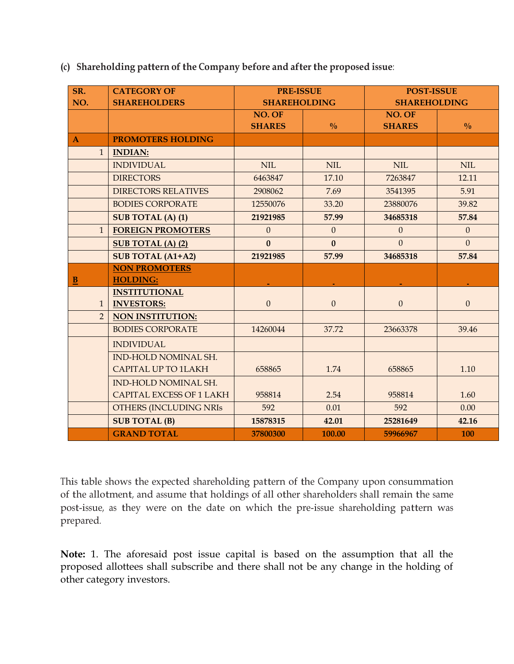**(c) Shareholding pattern of the Company before and after the proposed issue**:

| SR.            | <b>CATEGORY OF</b>              | <b>PRE-ISSUE</b>    |                  | <b>POST-ISSUE</b>   |                |  |
|----------------|---------------------------------|---------------------|------------------|---------------------|----------------|--|
| NO.            | <b>SHAREHOLDERS</b>             | <b>SHAREHOLDING</b> |                  | <b>SHAREHOLDING</b> |                |  |
|                |                                 | NO. OF              |                  | NO. OF              |                |  |
|                |                                 | <b>SHARES</b>       | $\frac{0}{0}$    | <b>SHARES</b>       | $\frac{0}{0}$  |  |
| $\mathbf{A}$   | <b>PROMOTERS HOLDING</b>        |                     |                  |                     |                |  |
| $\mathbf{1}$   | <b>INDIAN:</b>                  |                     |                  |                     |                |  |
|                | <b>INDIVIDUAL</b>               | <b>NIL</b>          | $\text{NIL}$     | <b>NIL</b>          | <b>NIL</b>     |  |
|                | <b>DIRECTORS</b>                | 6463847             | 17.10            | 7263847             | 12.11          |  |
|                | <b>DIRECTORS RELATIVES</b>      | 2908062             | 7.69             | 3541395             | 5.91           |  |
|                | <b>BODIES CORPORATE</b>         | 12550076            | 33.20            | 23880076            | 39.82          |  |
|                | <b>SUB TOTAL (A) (1)</b>        | 21921985            | 57.99            | 34685318            | 57.84          |  |
| $\mathbf{1}$   | <b>FOREIGN PROMOTERS</b>        | $\mathbf{0}$        | $\mathbf{0}$     | $\overline{0}$      | $\mathbf{0}$   |  |
|                | <b>SUB TOTAL (A) (2)</b>        | $\mathbf{0}$        | $\mathbf{0}$     | $\overline{0}$      | $\overline{0}$ |  |
|                | <b>SUB TOTAL (A1+A2)</b>        | 21921985            | 57.99            | 34685318            | 57.84          |  |
|                | <b>NON PROMOTERS</b>            |                     |                  |                     |                |  |
| B              | <b>HOLDING:</b>                 |                     |                  |                     |                |  |
|                | <b>INSTITUTIONAL</b>            |                     |                  |                     |                |  |
| $\mathbf{1}$   | <b>INVESTORS:</b>               | $\overline{0}$      | $\boldsymbol{0}$ | $\overline{0}$      | $\mathbf{0}$   |  |
| $\overline{2}$ | <b>NON INSTITUTION:</b>         |                     |                  |                     |                |  |
|                | <b>BODIES CORPORATE</b>         | 14260044            | 37.72            | 23663378            | 39.46          |  |
|                | <b>INDIVIDUAL</b>               |                     |                  |                     |                |  |
|                | <b>IND-HOLD NOMINAL SH.</b>     |                     |                  |                     |                |  |
|                | <b>CAPITAL UP TO 1LAKH</b>      | 658865              | 1.74             | 658865              | 1.10           |  |
|                | <b>IND-HOLD NOMINAL SH.</b>     |                     |                  |                     |                |  |
|                | <b>CAPITAL EXCESS OF 1 LAKH</b> | 958814              | 2.54             | 958814              | 1.60           |  |
|                | OTHERS (INCLUDING NRIS          | 592                 | 0.01             | 592                 | 0.00           |  |
|                | <b>SUB TOTAL (B)</b>            | 15878315            | 42.01            | 25281649            | 42.16          |  |
|                | <b>GRAND TOTAL</b>              | 37800300            | 100.00           | 59966967            | <b>100</b>     |  |

This table shows the expected shareholding pattern of the Company upon consummation of the allotment, and assume that holdings of all other shareholders shall remain the same post-issue, as they were on the date on which the pre-issue shareholding pattern was prepared.

**Note:** 1. The aforesaid post issue capital is based on the assumption that all the proposed allottees shall subscribe and there shall not be any change in the holding of other category investors.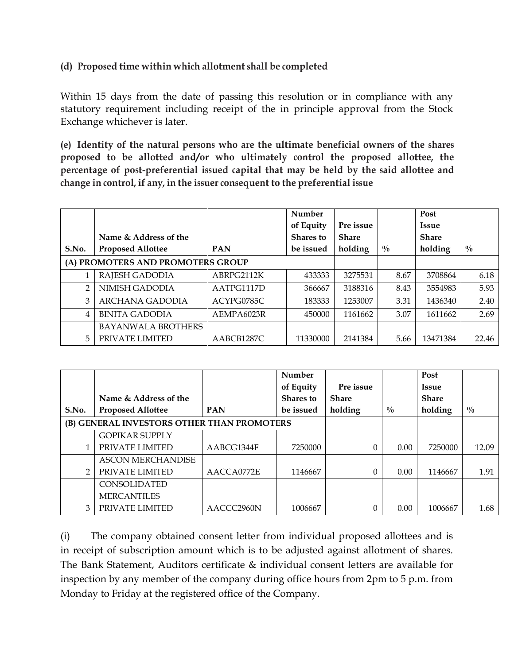# **(d) Proposed time within which allotment shall be completed**

Within 15 days from the date of passing this resolution or in compliance with any statutory requirement including receipt of the in principle approval from the Stock Exchange whichever is later.

**(e) Identity of the natural persons who are the ultimate beneficial owners of the shares proposed to be allotted and/or who ultimately control the proposed allottee, the percentage of post-preferential issued capital that may be held by the said allottee and change in control, if any, in the issuer consequent to the preferential issue**

|                                   |                           |            | Number           |              |               | Post         |               |
|-----------------------------------|---------------------------|------------|------------------|--------------|---------------|--------------|---------------|
|                                   |                           |            | of Equity        | Pre issue    |               | <b>Issue</b> |               |
|                                   | Name & Address of the     |            | <b>Shares</b> to | <b>Share</b> |               | <b>Share</b> |               |
| S.No.                             | <b>Proposed Allottee</b>  | <b>PAN</b> | be issued        | holding      | $\frac{0}{0}$ | holding      | $\frac{0}{0}$ |
| (A) PROMOTERS AND PROMOTERS GROUP |                           |            |                  |              |               |              |               |
|                                   | RAJESH GADODIA            | ABRPG2112K | 433333           | 3275531      | 8.67          | 3708864      | 6.18          |
| $\mathcal{P}$                     | NIMISH GADODIA            | AATPG1117D | 366667           | 3188316      | 8.43          | 3554983      | 5.93          |
| 3                                 | ARCHANA GADODIA           | ACYPG0785C | 183333           | 1253007      | 3.31          | 1436340      | 2.40          |
| $\overline{4}$                    | <b>BINITA GADODIA</b>     | AEMPA6023R | 450000           | 1161662      | 3.07          | 1611662      | 2.69          |
|                                   | <b>BAYANWALA BROTHERS</b> |            |                  |              |               |              |               |
| 5                                 | PRIVATE LIMITED           | AABCB1287C | 11330000         | 2141384      | 5.66          | 13471384     | 22.46         |

|                                            |                          |            | <b>Number</b>    |              |               | Post         |               |
|--------------------------------------------|--------------------------|------------|------------------|--------------|---------------|--------------|---------------|
|                                            |                          |            | of Equity        | Pre issue    |               | <b>Issue</b> |               |
|                                            | Name & Address of the    |            | <b>Shares</b> to | <b>Share</b> |               | <b>Share</b> |               |
| S.No.                                      | <b>Proposed Allottee</b> | <b>PAN</b> | be issued        | holding      | $\frac{0}{0}$ | holding      | $\frac{0}{0}$ |
| (B) GENERAL INVESTORS OTHER THAN PROMOTERS |                          |            |                  |              |               |              |               |
|                                            | <b>GOPIKAR SUPPLY</b>    |            |                  |              |               |              |               |
|                                            | PRIVATE LIMITED          | AABCG1344F | 7250000          | 0            | 0.00          | 7250000      | 12.09         |
|                                            | <b>ASCON MERCHANDISE</b> |            |                  |              |               |              |               |
|                                            | PRIVATE LIMITED          | AACCA0772E | 1146667          | $\Omega$     | 0.00          | 1146667      | 1.91          |
|                                            | CONSOLIDATED             |            |                  |              |               |              |               |
|                                            | <b>MERCANTILES</b>       |            |                  |              |               |              |               |
| 3                                          | PRIVATE LIMITED          | AACCC2960N | 1006667          | 0            | 0.00          | 1006667      | 1.68          |

(i) The company obtained consent letter from individual proposed allottees and is in receipt of subscription amount which is to be adjusted against allotment of shares. The Bank Statement, Auditors certificate & individual consent letters are available for inspection by any member of the company during office hours from 2pm to 5 p.m. from Monday to Friday at the registered office of the Company.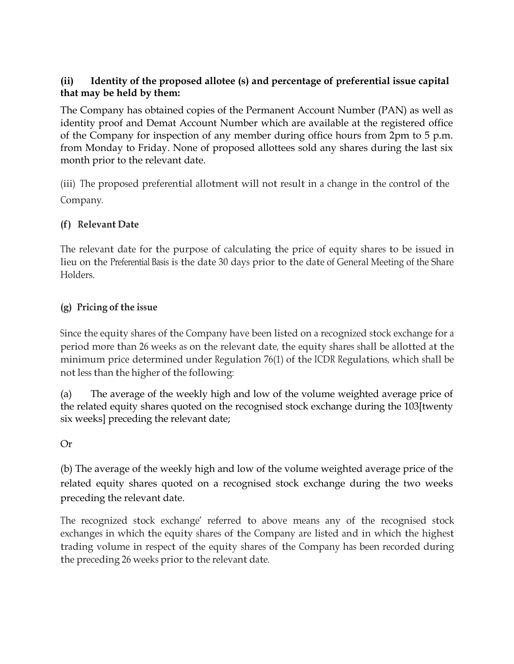# **(ii) Identity of the proposed allotee (s) and percentage of preferential issue capital that may be held by them:**

The Company has obtained copies of the Permanent Account Number (PAN) as well as identity proof and Demat Account Number which are available at the registered office of the Company for inspection of any member during office hours from 2pm to 5 p.m. from Monday to Friday. None of proposed allottees sold any shares during the last six month prior to the relevant date.

(iii) The proposed preferential allotment will not result in a change in the control of the Company.

# **(f) Relevant Date**

The relevant date for the purpose of calculating the price of equity shares to be issued in lieu on the Preferential Basis is the date 30 days prior to the date of General Meeting of the Share Holders.

# **(g)** Pricing of the issue

Since the equity shares of the Company have been listed on a recognized stock exchange for a period more than 26 weeks as on the relevant date, the equity shares shall be allotted at the minimum price determined under Regulation 76(1) of the ICDR Regulations, which shall be not less than the higher of the following:

(a) The average of the weekly high and low of the volume weighted average price of the related equity shares quoted on the recognised stock exchange during the 103[twenty six weeks] preceding the relevant date;

# Or

(b) The average of the weekly high and low of the volume weighted average price of the related equity shares quoted on a recognised stock exchange during the two weeks preceding the relevant date.

The recognized stock exchange' referred to above means any of the recognised stock exchanges in which the equity shares of the Company are listed and in which the highest trading volume in respect of the equity shares of the Company has been recorded during the preceding 26 weeks prior to the relevant date.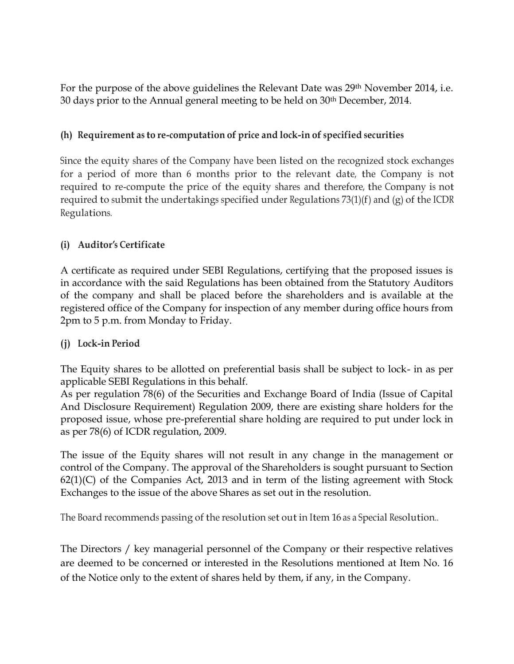For the purpose of the above guidelines the Relevant Date was 29th November 2014, i.e. 30 days prior to the Annual general meeting to be held on 30th December, 2014.

# **(h) Requirement as to re-computation of price and lock-in of specified securities**

Since the equity shares of the Company have been listed on the recognized stock exchanges for a period of more than 6 months prior to the relevant date, the Company is not required to re-compute the price of the equity shares and therefore, the Company is not required to submit the undertakings specified under Regulations 73(1)(f) and (g) of the ICDR Regulations.

# **(i) Auditor'<sup>s</sup> Certificate**

A certificate as required under SEBI Regulations, certifying that the proposed issues is in accordance with the said Regulations has been obtained from the Statutory Auditors of the company and shall be placed before the shareholders and is available at the registered office of the Company for inspection of any member during office hours from 2pm to 5 p.m. from Monday to Friday.

# **(j) Lock-in Period**

The Equity shares to be allotted on preferential basis shall be subject to lock- in as per applicable SEBI Regulations in this behalf.

As per regulation 78(6) of the Securities and Exchange Board of India (Issue of Capital And Disclosure Requirement) Regulation 2009, there are existing share holders for the proposed issue, whose pre-preferential share holding are required to put under lock in as per 78(6) of ICDR regulation, 2009.

The issue of the Equity shares will not result in any change in the management or control of the Company. The approval of the Shareholders is sought pursuant to Section  $62(1)(C)$  of the Companies Act, 2013 and in term of the listing agreement with Stock Exchanges to the issue of the above Shares as set out in the resolution.

The Board recommends passing of the resolution set out in Item 16 as a Special Resolution..

The Directors / key managerial personnel of the Company or their respective relatives are deemed to be concerned or interested in the Resolutions mentioned at Item No. 16 of the Notice only to the extent of shares held by them, if any, in the Company.